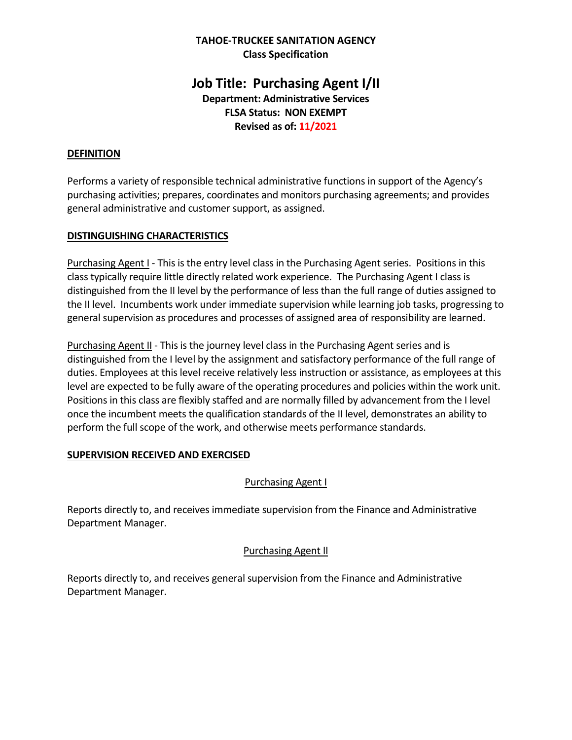## **TAHOE-TRUCKEE SANITATION AGENCY Class Specification**

# **Job Title: Purchasing Agent I/II Department: Administrative Services FLSA Status: NON EXEMPT Revised as of: 11/2021**

# **DEFINITION**

Performs a variety of responsible technical administrative functions in support of the Agency's purchasing activities; prepares, coordinates and monitors purchasing agreements; and provides general administrative and customer support, as assigned.

# **DISTINGUISHING CHARACTERISTICS**

Purchasing Agent I - This is the entry level class in the Purchasing Agent series. Positions in this class typically require little directly related work experience. The Purchasing Agent I class is distinguished from the II level by the performance of less than the full range of duties assigned to the II level. Incumbents work under immediate supervision while learning job tasks, progressing to general supervision as procedures and processes of assigned area of responsibility are learned.

**Purchasing Agent II** - This is the journey level class in the Purchasing Agent series and is distinguished from the I level by the assignment and satisfactory performance of the full range of duties. Employees at this level receive relatively less instruction or assistance, as employees at this level are expected to be fully aware of the operating procedures and policies within the work unit. Positions in this class are flexibly staffed and are normally filled by advancement from the I level once the incumbent meets the qualification standards of the II level, demonstrates an ability to perform the full scope of the work, and otherwise meets performance standards.

# **SUPERVISION RECEIVED AND EXERCISED**

# Purchasing Agent I

Reports directly to, and receives immediate supervision from the Finance and Administrative Department Manager.

# Purchasing Agent II

Reports directly to, and receives general supervision from the Finance and Administrative Department Manager.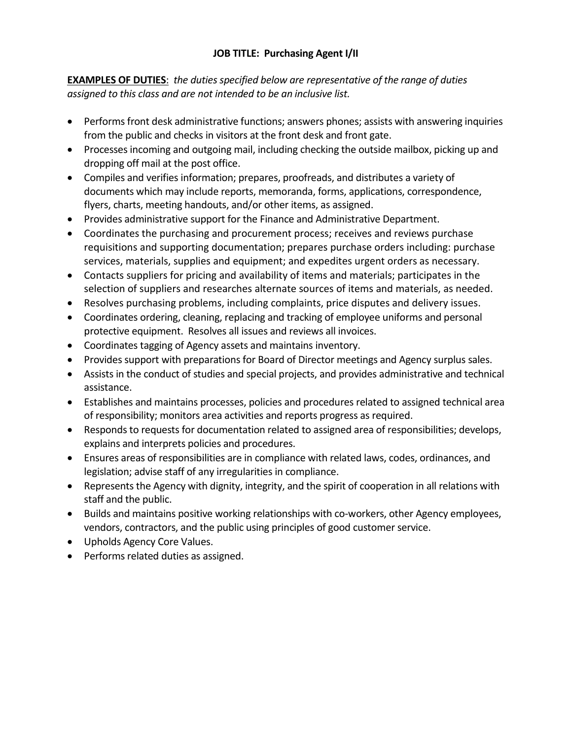# **JOB TITLE: Purchasing Agent I/II**

**EXAMPLES OF DUTIES**: *the duties specified below are representative of the range of duties assigned to this class and are not intended to be an inclusive list.* 

- Performs front desk administrative functions; answers phones; assists with answering inquiries from the public and checks in visitors at the front desk and front gate.
- Processes incoming and outgoing mail, including checking the outside mailbox, picking up and dropping off mail at the post office.
- Compiles and verifies information; prepares, proofreads, and distributes a variety of documents which may include reports, memoranda, forms, applications, correspondence, flyers, charts, meeting handouts, and/or other items, as assigned.
- Provides administrative support for the Finance and Administrative Department.
- Coordinates the purchasing and procurement process; receives and reviews purchase requisitions and supporting documentation; prepares purchase orders including: purchase services, materials, supplies and equipment; and expedites urgent orders as necessary.
- Contacts suppliers for pricing and availability of items and materials; participates in the selection of suppliers and researches alternate sources of items and materials, as needed.
- Resolves purchasing problems, including complaints, price disputes and delivery issues.
- Coordinates ordering, cleaning, replacing and tracking of employee uniforms and personal protective equipment. Resolves all issues and reviews all invoices.
- Coordinates tagging of Agency assets and maintains inventory.
- Provides support with preparations for Board of Director meetings and Agency surplus sales.
- Assists in the conduct of studies and special projects, and provides administrative and technical assistance.
- Establishes and maintains processes, policies and procedures related to assigned technical area of responsibility; monitors area activities and reports progress as required.
- Responds to requests for documentation related to assigned area of responsibilities; develops, explains and interprets policies and procedures.
- Ensures areas of responsibilities are in compliance with related laws, codes, ordinances, and legislation; advise staff of any irregularities in compliance.
- Represents the Agency with dignity, integrity, and the spirit of cooperation in all relations with staff and the public.
- Builds and maintains positive working relationships with co-workers, other Agency employees, vendors, contractors, and the public using principles of good customer service.
- Upholds Agency Core Values.
- Performs related duties as assigned.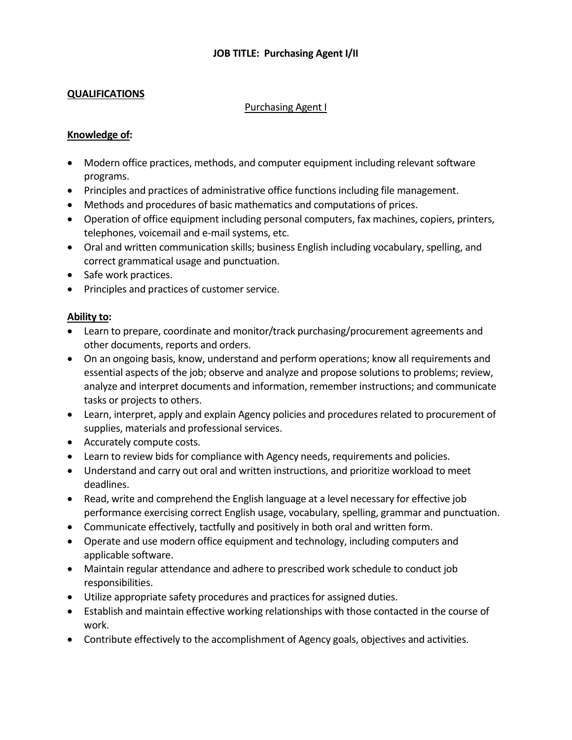## **QUALIFICATIONS**

#### Purchasing Agent I

### **Knowledge of:**

- Modern office practices, methods, and computer equipment including relevant software programs.
- Principles and practices of administrative office functions including file management.
- Methods and procedures of basic mathematics and computations of prices.
- Operation of office equipment including personal computers, fax machines, copiers, printers, telephones, voicemail and e-mail systems, etc.
- Oral and written communication skills; business English including vocabulary, spelling, and correct grammatical usage and punctuation.
- Safe work practices.
- Principles and practices of customer service.

## **Ability to:**

- Learn to prepare, coordinate and monitor/track purchasing/procurement agreements and other documents, reports and orders.
- On an ongoing basis, know, understand and perform operations; know all requirements and essential aspects of the job; observe and analyze and propose solutions to problems; review, analyze and interpret documents and information, remember instructions; and communicate tasks or projects to others.
- Learn, interpret, apply and explain Agency policies and procedures related to procurement of supplies, materials and professional services.
- Accurately compute costs.
- Learn to review bids for compliance with Agency needs, requirements and policies.
- Understand and carry out oral and written instructions, and prioritize workload to meet deadlines.
- Read, write and comprehend the English language at a level necessary for effective job performance exercising correct English usage, vocabulary, spelling, grammar and punctuation.
- Communicate effectively, tactfully and positively in both oral and written form.
- Operate and use modern office equipment and technology, including computers and applicable software.
- Maintain regular attendance and adhere to prescribed work schedule to conduct job responsibilities.
- Utilize appropriate safety procedures and practices for assigned duties.
- Establish and maintain effective working relationships with those contacted in the course of work.
- Contribute effectively to the accomplishment of Agency goals, objectives and activities.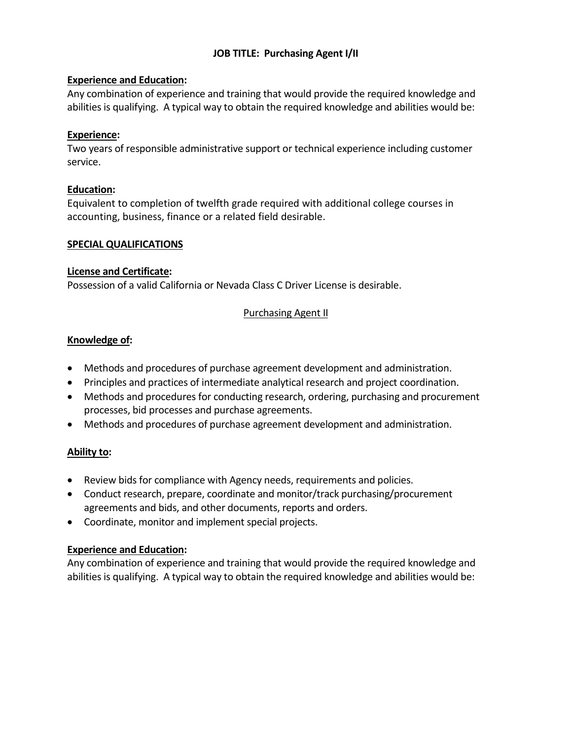# **JOB TITLE: Purchasing Agent I/II**

## **Experience and Education:**

Any combination of experience and training that would provide the required knowledge and abilities is qualifying. A typical way to obtain the required knowledge and abilities would be:

## **Experience:**

Two years of responsible administrative support or technical experience including customer service.

## **Education:**

Equivalent to completion of twelfth grade required with additional college courses in accounting, business, finance or a related field desirable.

### **SPECIAL QUALIFICATIONS**

## **License and Certificate:**

Possession of a valid California or Nevada Class C Driver License is desirable.

# Purchasing Agent II

## **Knowledge of:**

- Methods and procedures of purchase agreement development and administration.
- Principles and practices of intermediate analytical research and project coordination.
- Methods and procedures for conducting research, ordering, purchasing and procurement processes, bid processes and purchase agreements.
- Methods and procedures of purchase agreement development and administration.

# **Ability to:**

- Review bids for compliance with Agency needs, requirements and policies.
- Conduct research, prepare, coordinate and monitor/track purchasing/procurement agreements and bids, and other documents, reports and orders.
- Coordinate, monitor and implement special projects.

# **Experience and Education:**

Any combination of experience and training that would provide the required knowledge and abilities is qualifying. A typical way to obtain the required knowledge and abilities would be: